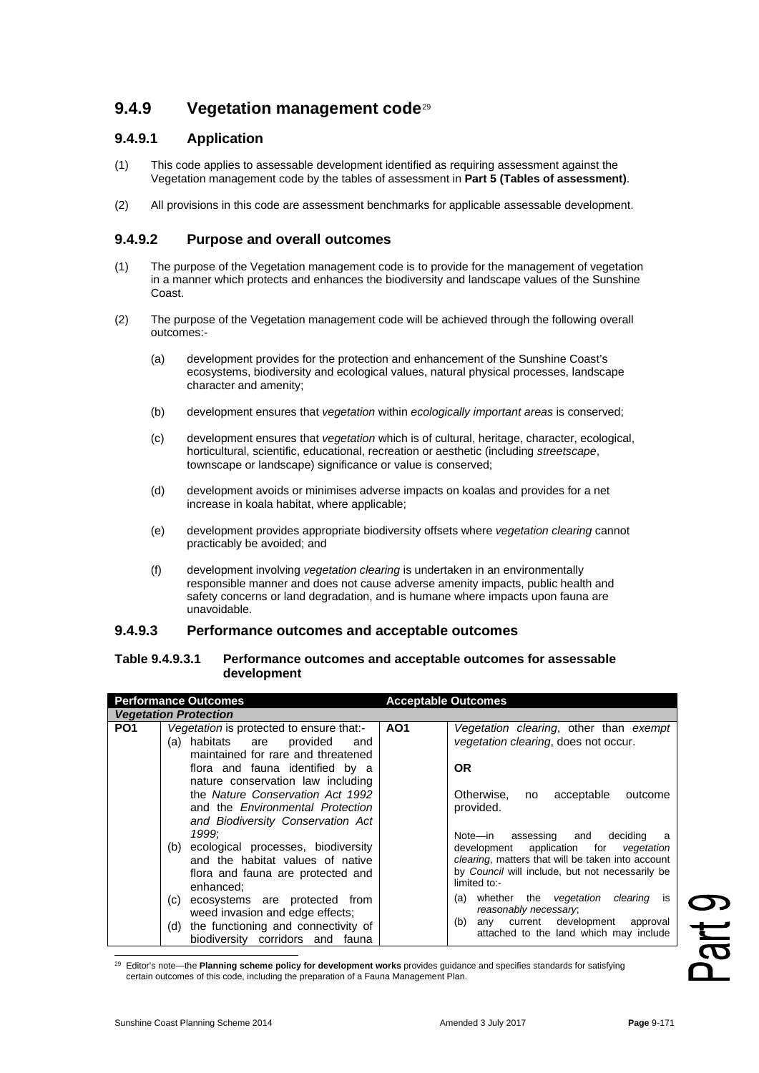# **9.4.9 Vegetation management code**[29](#page-0-0)

## **9.4.9.1 Application**

- (1) This code applies to assessable development identified as requiring assessment against the Vegetation management code by the tables of assessment in **Part 5 (Tables of assessment)**.
- (2) All provisions in this code are assessment benchmarks for applicable assessable development.

### **9.4.9.2 Purpose and overall outcomes**

- (1) The purpose of the Vegetation management code is to provide for the management of vegetation in a manner which protects and enhances the biodiversity and landscape values of the Sunshine Coast.
- (2) The purpose of the Vegetation management code will be achieved through the following overall outcomes:-
	- (a) development provides for the protection and enhancement of the Sunshine Coast's ecosystems, biodiversity and ecological values, natural physical processes, landscape character and amenity;
	- (b) development ensures that *vegetation* within *ecologically important areas* is conserved;
	- (c) development ensures that *vegetation* which is of cultural, heritage, character, ecological, horticultural, scientific, educational, recreation or aesthetic (including *streetscape*, townscape or landscape) significance or value is conserved;
	- (d) development avoids or minimises adverse impacts on koalas and provides for a net increase in koala habitat, where applicable;
	- (e) development provides appropriate biodiversity offsets where *vegetation clearing* cannot practicably be avoided; and
	- (f) development involving *vegetation clearing* is undertaken in an environmentally responsible manner and does not cause adverse amenity impacts, public health and safety concerns or land degradation, and is humane where impacts upon fauna are unavoidable.

#### **9.4.9.3 Performance outcomes and acceptable outcomes**

#### **Table 9.4.9.3.1 Performance outcomes and acceptable outcomes for assessable development**

|                 | <b>Performance Outcomes</b>                                                                                                                                                                                                                                                                                                               |                 | <b>Acceptable Outcomes</b>                                                                                                                                                                                                                                                                                                                                                           |
|-----------------|-------------------------------------------------------------------------------------------------------------------------------------------------------------------------------------------------------------------------------------------------------------------------------------------------------------------------------------------|-----------------|--------------------------------------------------------------------------------------------------------------------------------------------------------------------------------------------------------------------------------------------------------------------------------------------------------------------------------------------------------------------------------------|
|                 | <b>Vegetation Protection</b>                                                                                                                                                                                                                                                                                                              |                 |                                                                                                                                                                                                                                                                                                                                                                                      |
| PO <sub>1</sub> | Vegetation is protected to ensure that:-<br>(a) habitats are provided<br>and<br>maintained for rare and threatened<br>flora and fauna identified by a<br>nature conservation law including<br>the Nature Conservation Act 1992<br>and the <i>Environmental Protection</i>                                                                 | AO <sub>1</sub> | Vegetation clearing, other than exempt<br>vegetation clearing, does not occur.<br><b>OR</b><br>Otherwise.<br>acceptable<br>outcome<br>no<br>provided.                                                                                                                                                                                                                                |
|                 | and Biodiversity Conservation Act<br>1999:<br>(b) ecological processes, biodiversity<br>and the habitat values of native<br>flora and fauna are protected and<br>enhanced:<br>ecosystems are protected from<br>(C) =<br>weed invasion and edge effects;<br>the functioning and connectivity of<br>(d)<br>biodiversity corridors and fauna |                 | Note-in assessing and deciding<br>a<br>development application for<br>vegetation<br>clearing, matters that will be taken into account<br>by Council will include, but not necessarily be<br>limited to:-<br>whether the <i>vegetation</i><br><i>clearing</i> is<br>(a)<br>reasonably necessary;<br>any current development approval<br>(b)<br>attached to the land which may include |

<span id="page-0-0"></span><sup>29</sup> Editor's note—the **Planning scheme policy for development works** provides guidance and specifies standards for satisfying certain outcomes of this code, including the preparation of a Fauna Management Plan.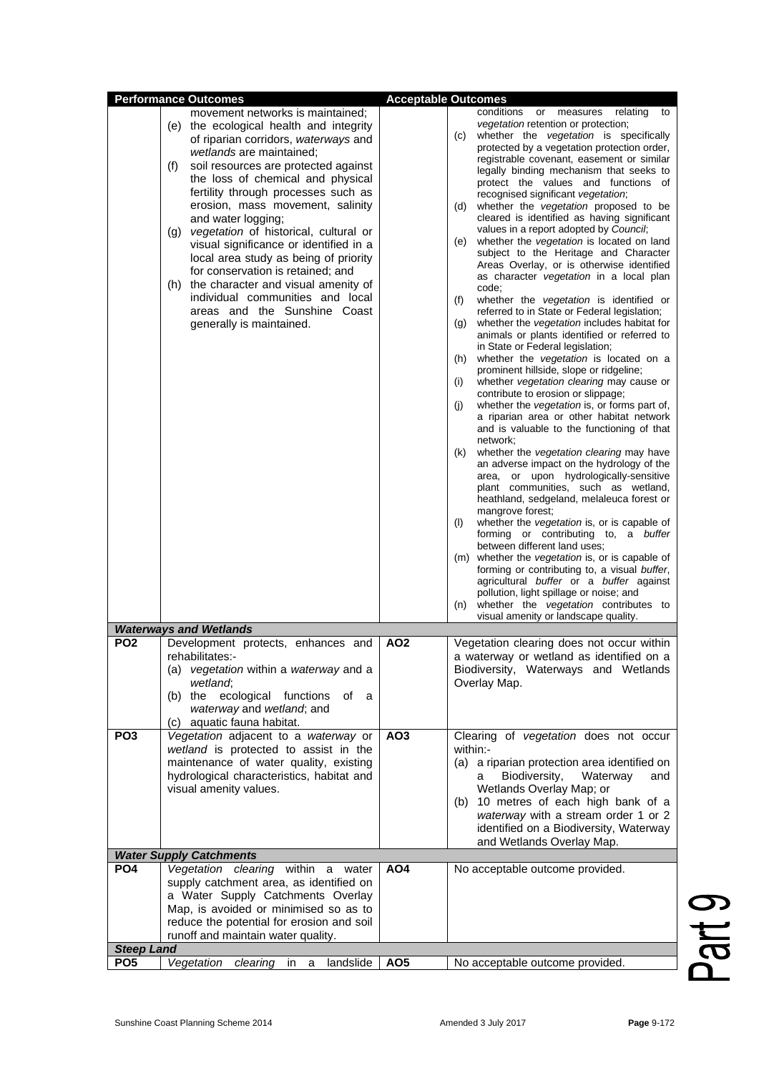|                                      | <b>Performance Outcomes</b>                                                                                                                                                                                                                                                                                                                                                                                                                                                                                                                                                                                                                             | <b>Acceptable Outcomes</b> |                                                                                                                                                                                                                                                                                                                                                                                                                                                                                                                                                                                                                                                                                                                                                                                                                                                                                                                                                                                                                                                                                                                                                                                                                                                                                                                                                                                                                                                                                                                                                                                                                                                                                                                                                                                                                                                                                                      |
|--------------------------------------|---------------------------------------------------------------------------------------------------------------------------------------------------------------------------------------------------------------------------------------------------------------------------------------------------------------------------------------------------------------------------------------------------------------------------------------------------------------------------------------------------------------------------------------------------------------------------------------------------------------------------------------------------------|----------------------------|------------------------------------------------------------------------------------------------------------------------------------------------------------------------------------------------------------------------------------------------------------------------------------------------------------------------------------------------------------------------------------------------------------------------------------------------------------------------------------------------------------------------------------------------------------------------------------------------------------------------------------------------------------------------------------------------------------------------------------------------------------------------------------------------------------------------------------------------------------------------------------------------------------------------------------------------------------------------------------------------------------------------------------------------------------------------------------------------------------------------------------------------------------------------------------------------------------------------------------------------------------------------------------------------------------------------------------------------------------------------------------------------------------------------------------------------------------------------------------------------------------------------------------------------------------------------------------------------------------------------------------------------------------------------------------------------------------------------------------------------------------------------------------------------------------------------------------------------------------------------------------------------------|
|                                      | movement networks is maintained;<br>(e) the ecological health and integrity<br>of riparian corridors, waterways and<br>wetlands are maintained;<br>soil resources are protected against<br>(f)<br>the loss of chemical and physical<br>fertility through processes such as<br>erosion, mass movement, salinity<br>and water logging;<br>(g) vegetation of historical, cultural or<br>visual significance or identified in a<br>local area study as being of priority<br>for conservation is retained; and<br>the character and visual amenity of<br>(h)<br>individual communities and local<br>areas and the Sunshine Coast<br>generally is maintained. |                            | conditions<br>$\mathsf{or}$<br>measures relating<br>to<br><i>vegetation</i> retention or protection;<br>whether the vegetation is specifically<br>(c)<br>protected by a vegetation protection order,<br>registrable covenant, easement or similar<br>legally binding mechanism that seeks to<br>protect the values and functions of<br>recognised significant vegetation;<br>whether the <i>vegetation</i> proposed to be<br>(d)<br>cleared is identified as having significant<br>values in a report adopted by Council;<br>whether the vegetation is located on land<br>(e)<br>subject to the Heritage and Character<br>Areas Overlay, or is otherwise identified<br>as character vegetation in a local plan<br>code;<br>(f)<br>whether the vegetation is identified or<br>referred to in State or Federal legislation;<br>whether the <i>vegetation</i> includes habitat for<br>(g)<br>animals or plants identified or referred to<br>in State or Federal legislation;<br>whether the vegetation is located on a<br>(h)<br>prominent hillside, slope or ridgeline;<br>whether vegetation clearing may cause or<br>(i)<br>contribute to erosion or slippage;<br>whether the vegetation is, or forms part of,<br>(i)<br>a riparian area or other habitat network<br>and is valuable to the functioning of that<br>network;<br>whether the vegetation clearing may have<br>(k)<br>an adverse impact on the hydrology of the<br>area, or upon hydrologically-sensitive<br>plant communities, such as wetland,<br>heathland, sedgeland, melaleuca forest or<br>mangrove forest;<br>whether the vegetation is, or is capable of<br>(1)<br>forming or contributing to, a buffer<br>between different land uses;<br>(m) whether the vegetation is, or is capable of<br>forming or contributing to, a visual buffer,<br>agricultural buffer or a buffer against<br>pollution, light spillage or noise; and |
|                                      |                                                                                                                                                                                                                                                                                                                                                                                                                                                                                                                                                                                                                                                         |                            | visual amenity or landscape quality.                                                                                                                                                                                                                                                                                                                                                                                                                                                                                                                                                                                                                                                                                                                                                                                                                                                                                                                                                                                                                                                                                                                                                                                                                                                                                                                                                                                                                                                                                                                                                                                                                                                                                                                                                                                                                                                                 |
|                                      | <b>Waterways and Wetlands</b>                                                                                                                                                                                                                                                                                                                                                                                                                                                                                                                                                                                                                           |                            |                                                                                                                                                                                                                                                                                                                                                                                                                                                                                                                                                                                                                                                                                                                                                                                                                                                                                                                                                                                                                                                                                                                                                                                                                                                                                                                                                                                                                                                                                                                                                                                                                                                                                                                                                                                                                                                                                                      |
| PO <sub>2</sub>                      | Development protects, enhances and<br>rehabilitates:-<br>(a) vegetation within a waterway and a<br>wetland;<br>(b) the ecological functions<br>of a<br>waterway and wetland; and<br>(c) aquatic fauna habitat.                                                                                                                                                                                                                                                                                                                                                                                                                                          | AO <sub>2</sub>            | Vegetation clearing does not occur within<br>a waterway or wetland as identified on a<br>Biodiversity, Waterways and Wetlands<br>Overlay Map.                                                                                                                                                                                                                                                                                                                                                                                                                                                                                                                                                                                                                                                                                                                                                                                                                                                                                                                                                                                                                                                                                                                                                                                                                                                                                                                                                                                                                                                                                                                                                                                                                                                                                                                                                        |
| PO <sub>3</sub>                      | Vegetation adjacent to a waterway or<br>wetland is protected to assist in the<br>maintenance of water quality, existing<br>hydrological characteristics, habitat and<br>visual amenity values.                                                                                                                                                                                                                                                                                                                                                                                                                                                          | AO <sub>3</sub>            | Clearing of vegetation does not occur<br>within:-<br>(a) a riparian protection area identified on<br>Biodiversity,<br>Waterway<br>and<br>a<br>Wetlands Overlay Map; or<br>(b) 10 metres of each high bank of a<br>waterway with a stream order 1 or 2<br>identified on a Biodiversity, Waterway<br>and Wetlands Overlay Map.                                                                                                                                                                                                                                                                                                                                                                                                                                                                                                                                                                                                                                                                                                                                                                                                                                                                                                                                                                                                                                                                                                                                                                                                                                                                                                                                                                                                                                                                                                                                                                         |
|                                      | <b>Water Supply Catchments</b>                                                                                                                                                                                                                                                                                                                                                                                                                                                                                                                                                                                                                          |                            |                                                                                                                                                                                                                                                                                                                                                                                                                                                                                                                                                                                                                                                                                                                                                                                                                                                                                                                                                                                                                                                                                                                                                                                                                                                                                                                                                                                                                                                                                                                                                                                                                                                                                                                                                                                                                                                                                                      |
| PO <sub>4</sub><br><b>Steep Land</b> | Vegetation clearing within a water<br>supply catchment area, as identified on<br>a Water Supply Catchments Overlay<br>Map, is avoided or minimised so as to<br>reduce the potential for erosion and soil<br>runoff and maintain water quality.                                                                                                                                                                                                                                                                                                                                                                                                          | AO <sub>4</sub>            | No acceptable outcome provided.                                                                                                                                                                                                                                                                                                                                                                                                                                                                                                                                                                                                                                                                                                                                                                                                                                                                                                                                                                                                                                                                                                                                                                                                                                                                                                                                                                                                                                                                                                                                                                                                                                                                                                                                                                                                                                                                      |
| PO <sub>5</sub>                      | Vegetation<br>clearing in a<br>landslide                                                                                                                                                                                                                                                                                                                                                                                                                                                                                                                                                                                                                | AO <sub>5</sub>            | No acceptable outcome provided.                                                                                                                                                                                                                                                                                                                                                                                                                                                                                                                                                                                                                                                                                                                                                                                                                                                                                                                                                                                                                                                                                                                                                                                                                                                                                                                                                                                                                                                                                                                                                                                                                                                                                                                                                                                                                                                                      |

Part 9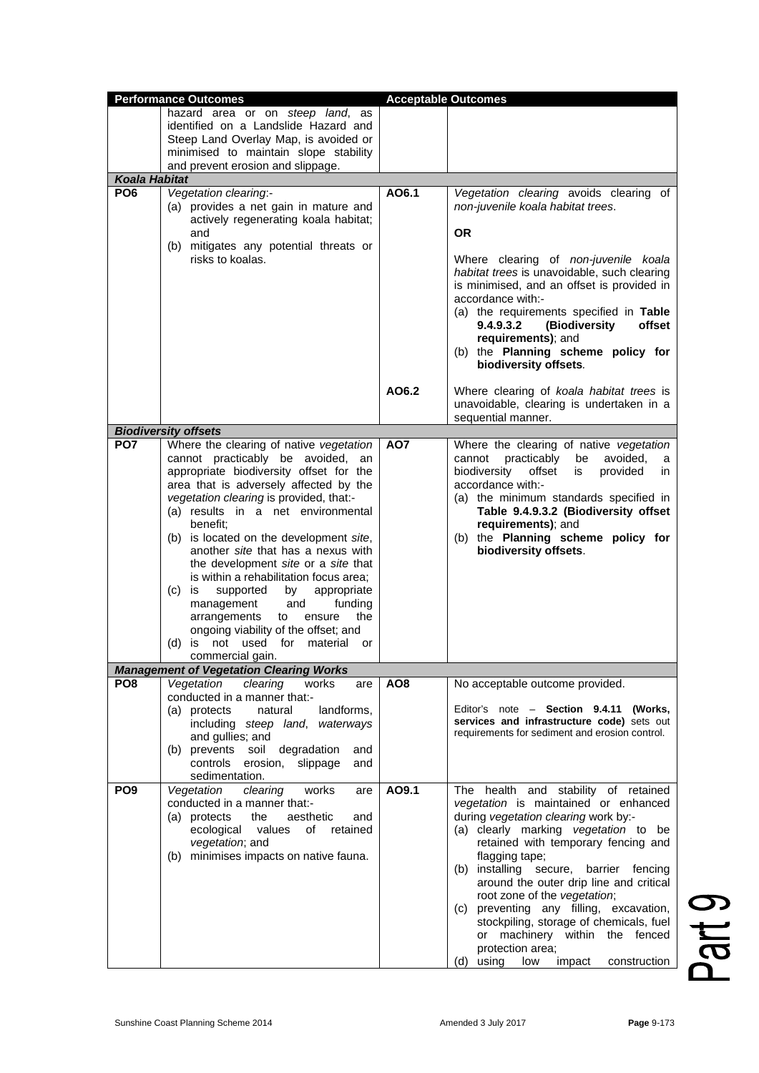|                      | <b>Performance Outcomes</b>                                                                                                                                                                                                                                                                                                                                                                                                                                                                                                                                                                                                                                             |                 | <b>Acceptable Outcomes</b>                                                                                                                                                                                                                                                                                                                                                                                                                                                                                                           |
|----------------------|-------------------------------------------------------------------------------------------------------------------------------------------------------------------------------------------------------------------------------------------------------------------------------------------------------------------------------------------------------------------------------------------------------------------------------------------------------------------------------------------------------------------------------------------------------------------------------------------------------------------------------------------------------------------------|-----------------|--------------------------------------------------------------------------------------------------------------------------------------------------------------------------------------------------------------------------------------------------------------------------------------------------------------------------------------------------------------------------------------------------------------------------------------------------------------------------------------------------------------------------------------|
|                      | hazard area or on steep land, as<br>identified on a Landslide Hazard and<br>Steep Land Overlay Map, is avoided or<br>minimised to maintain slope stability<br>and prevent erosion and slippage.                                                                                                                                                                                                                                                                                                                                                                                                                                                                         |                 |                                                                                                                                                                                                                                                                                                                                                                                                                                                                                                                                      |
| <b>Koala Habitat</b> |                                                                                                                                                                                                                                                                                                                                                                                                                                                                                                                                                                                                                                                                         |                 |                                                                                                                                                                                                                                                                                                                                                                                                                                                                                                                                      |
| PO <sub>6</sub>      | Vegetation clearing:-<br>(a) provides a net gain in mature and<br>actively regenerating koala habitat;<br>and<br>(b) mitigates any potential threats or<br>risks to koalas.                                                                                                                                                                                                                                                                                                                                                                                                                                                                                             | AO6.1           | Vegetation clearing avoids clearing of<br>non-juvenile koala habitat trees.<br><b>OR</b><br>Where clearing of non-juvenile koala<br>habitat trees is unavoidable, such clearing<br>is minimised, and an offset is provided in<br>accordance with:-<br>(a) the requirements specified in Table<br>9.4.9.3.2<br>(Biodiversity<br>offset<br>requirements); and<br>(b) the Planning scheme policy for<br>biodiversity offsets.                                                                                                           |
|                      |                                                                                                                                                                                                                                                                                                                                                                                                                                                                                                                                                                                                                                                                         | AO6.2           | Where clearing of koala habitat trees is<br>unavoidable, clearing is undertaken in a<br>sequential manner.                                                                                                                                                                                                                                                                                                                                                                                                                           |
|                      | <b>Biodiversity offsets</b>                                                                                                                                                                                                                                                                                                                                                                                                                                                                                                                                                                                                                                             |                 |                                                                                                                                                                                                                                                                                                                                                                                                                                                                                                                                      |
| PO <sub>7</sub>      | Where the clearing of native vegetation<br>cannot practicably be avoided,<br>an<br>appropriate biodiversity offset for the<br>area that is adversely affected by the<br>vegetation clearing is provided, that:-<br>(a) results in a net environmental<br>benefit:<br>(b) is located on the development site,<br>another site that has a nexus with<br>the development site or a site that<br>is within a rehabilitation focus area;<br>(c)<br>is<br>supported<br>appropriate<br>by<br>management<br>and<br>funding<br>the<br>arrangements<br>ensure<br>to<br>ongoing viability of the offset; and<br>not used<br>(d)<br>for<br>material<br>is<br>or<br>commercial gain. | AO7             | Where the clearing of native vegetation<br>cannot<br>practicably<br>avoided.<br>be<br>a<br>biodiversity<br>offset<br>provided<br>is<br>in.<br>accordance with:-<br>(a) the minimum standards specified in<br>Table 9.4.9.3.2 (Biodiversity offset<br>requirements); and<br>(b) the Planning scheme policy for<br>biodiversity offsets.                                                                                                                                                                                               |
|                      | <b>Management of Vegetation Clearing Works</b>                                                                                                                                                                                                                                                                                                                                                                                                                                                                                                                                                                                                                          |                 |                                                                                                                                                                                                                                                                                                                                                                                                                                                                                                                                      |
| PO <sub>8</sub>      | Vegetation<br>clearing<br>works<br>are<br>conducted in a manner that:-<br>(a) protects<br>landforms,<br>natural<br>including steep land, waterways<br>and gullies; and<br>(b) prevents soil degradation<br>and<br>erosion, slippage<br>controls<br>and<br>sedimentation.                                                                                                                                                                                                                                                                                                                                                                                                | AO <sub>8</sub> | No acceptable outcome provided.<br>Editor's note - Section 9.4.11 (Works,<br>services and infrastructure code) sets out<br>requirements for sediment and erosion control.                                                                                                                                                                                                                                                                                                                                                            |
| PO <sub>9</sub>      | clearing<br>works<br>Vegetation<br>are<br>conducted in a manner that:-<br>(a) protects<br>the<br>aesthetic<br>and<br>ecological values<br>of retained<br>vegetation; and<br>(b) minimises impacts on native fauna.                                                                                                                                                                                                                                                                                                                                                                                                                                                      | AO9.1           | The health and stability of retained<br>vegetation is maintained or enhanced<br>during vegetation clearing work by:-<br>(a) clearly marking vegetation to be<br>retained with temporary fencing and<br>flagging tape;<br>(b) installing secure, barrier fencing<br>around the outer drip line and critical<br>root zone of the vegetation;<br>(c) preventing any filling, excavation,<br>stockpiling, storage of chemicals, fuel<br>or machinery within the fenced<br>protection area;<br>impact<br>(d) using<br>low<br>construction |

Part 9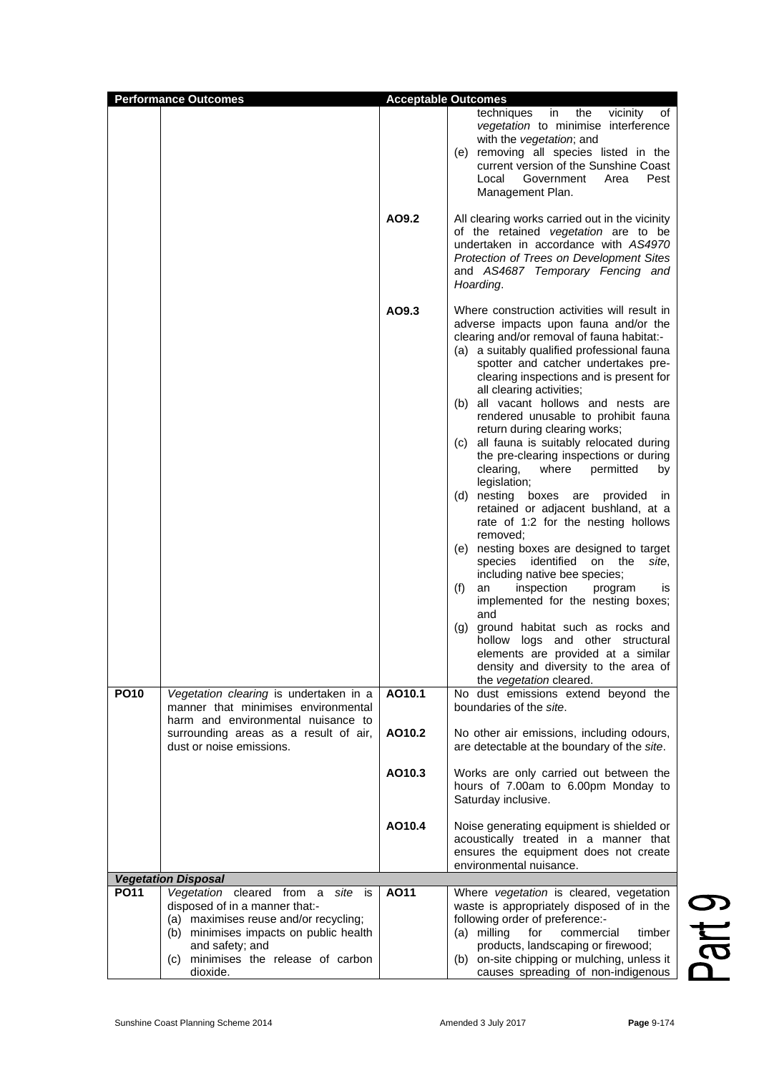| <b>Performance Outcomes</b> |                                                                                                                                                                                                                     |                  | <b>Acceptable Outcomes</b>                                                                                                                                                                                                                                                                                                                                                                                                                                                                                                                                                                                                                                                                                                                                                                                                                                                                                                                                                                                                                                                                                           |              |
|-----------------------------|---------------------------------------------------------------------------------------------------------------------------------------------------------------------------------------------------------------------|------------------|----------------------------------------------------------------------------------------------------------------------------------------------------------------------------------------------------------------------------------------------------------------------------------------------------------------------------------------------------------------------------------------------------------------------------------------------------------------------------------------------------------------------------------------------------------------------------------------------------------------------------------------------------------------------------------------------------------------------------------------------------------------------------------------------------------------------------------------------------------------------------------------------------------------------------------------------------------------------------------------------------------------------------------------------------------------------------------------------------------------------|--------------|
|                             |                                                                                                                                                                                                                     | AO9.2            | in<br>the<br>vicinity<br>techniques<br>of<br>vegetation to minimise interference<br>with the vegetation; and<br>(e) removing all species listed in the<br>current version of the Sunshine Coast<br>Government<br>Pest<br>Local<br>Area<br>Management Plan.<br>All clearing works carried out in the vicinity                                                                                                                                                                                                                                                                                                                                                                                                                                                                                                                                                                                                                                                                                                                                                                                                         |              |
|                             |                                                                                                                                                                                                                     |                  | of the retained vegetation are to be<br>undertaken in accordance with AS4970<br>Protection of Trees on Development Sites<br>and AS4687 Temporary Fencing and<br>Hoarding.                                                                                                                                                                                                                                                                                                                                                                                                                                                                                                                                                                                                                                                                                                                                                                                                                                                                                                                                            |              |
|                             |                                                                                                                                                                                                                     | AO9.3            | Where construction activities will result in<br>adverse impacts upon fauna and/or the<br>clearing and/or removal of fauna habitat:-<br>(a) a suitably qualified professional fauna<br>spotter and catcher undertakes pre-<br>clearing inspections and is present for<br>all clearing activities;<br>(b) all vacant hollows and nests are<br>rendered unusable to prohibit fauna<br>return during clearing works;<br>(c) all fauna is suitably relocated during<br>the pre-clearing inspections or during<br>clearing,<br>where<br>permitted<br>by<br>legislation;<br>nesting boxes are provided<br>(d)<br><i>in</i><br>retained or adjacent bushland, at a<br>rate of 1:2 for the nesting hollows<br>removed;<br>(e) nesting boxes are designed to target<br>species identified on the<br>site,<br>including native bee species;<br>(f)<br>inspection<br>an<br>program<br>IS<br>implemented for the nesting boxes;<br>and<br>ground habitat such as rocks and<br>(g)<br>hollow<br>logs and other structural<br>elements are provided at a similar<br>density and diversity to the area of<br>the vegetation cleared. |              |
| <b>PO10</b>                 | Vegetation clearing is undertaken in a<br>manner that minimises environmental<br>harm and environmental nuisance to<br>surrounding areas as a result of air,                                                        | AO10.1<br>AO10.2 | No dust emissions extend beyond the<br>boundaries of the site.<br>No other air emissions, including odours,                                                                                                                                                                                                                                                                                                                                                                                                                                                                                                                                                                                                                                                                                                                                                                                                                                                                                                                                                                                                          |              |
|                             | dust or noise emissions.                                                                                                                                                                                            |                  | are detectable at the boundary of the site.                                                                                                                                                                                                                                                                                                                                                                                                                                                                                                                                                                                                                                                                                                                                                                                                                                                                                                                                                                                                                                                                          |              |
|                             |                                                                                                                                                                                                                     | AO10.3           | Works are only carried out between the<br>hours of 7.00am to 6.00pm Monday to<br>Saturday inclusive.                                                                                                                                                                                                                                                                                                                                                                                                                                                                                                                                                                                                                                                                                                                                                                                                                                                                                                                                                                                                                 |              |
|                             |                                                                                                                                                                                                                     | AO10.4           | Noise generating equipment is shielded or<br>acoustically treated in a manner that<br>ensures the equipment does not create<br>environmental nuisance.                                                                                                                                                                                                                                                                                                                                                                                                                                                                                                                                                                                                                                                                                                                                                                                                                                                                                                                                                               |              |
|                             | <b>Vegetation Disposal</b>                                                                                                                                                                                          |                  |                                                                                                                                                                                                                                                                                                                                                                                                                                                                                                                                                                                                                                                                                                                                                                                                                                                                                                                                                                                                                                                                                                                      |              |
| <b>PO11</b>                 | Vegetation cleared from a<br>site is<br>disposed of in a manner that:-<br>(a) maximises reuse and/or recycling;<br>(b) minimises impacts on public health<br>and safety; and<br>(c) minimises the release of carbon | AO11             | Where vegetation is cleared, vegetation<br>waste is appropriately disposed of in the<br>following order of preference:-<br>(a) milling<br>commercial<br>for<br>timber<br>products, landscaping or firewood;<br>(b) on-site chipping or mulching, unless it                                                                                                                                                                                                                                                                                                                                                                                                                                                                                                                                                                                                                                                                                                                                                                                                                                                           | <b>Q</b> Hec |
|                             | dioxide.                                                                                                                                                                                                            |                  | causes spreading of non-indigenous                                                                                                                                                                                                                                                                                                                                                                                                                                                                                                                                                                                                                                                                                                                                                                                                                                                                                                                                                                                                                                                                                   |              |